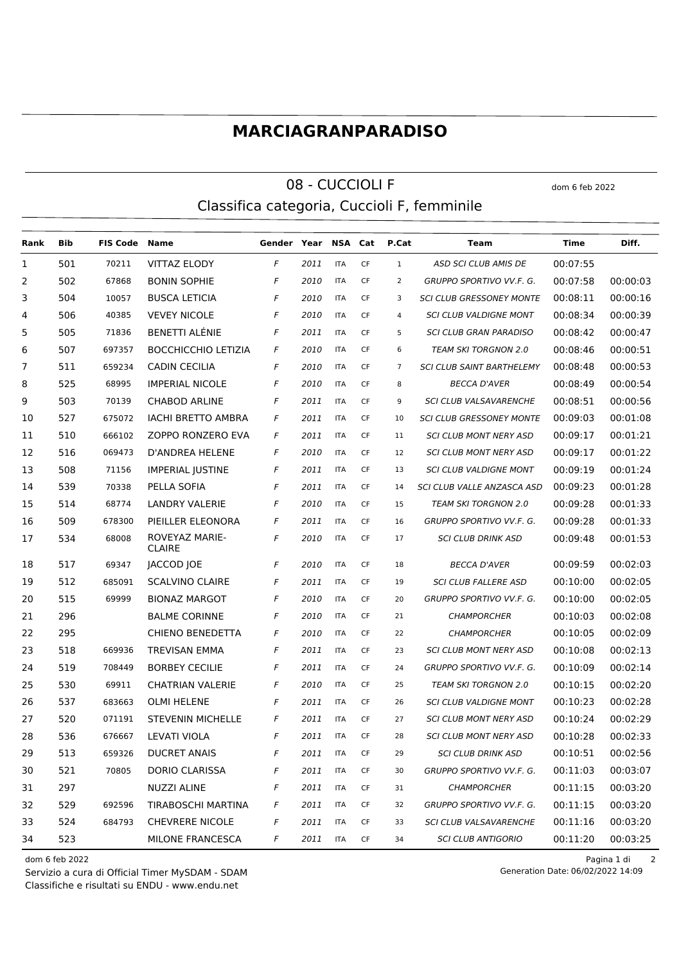## **MARCIAGRANPARADISO**

## 08 - CUCCIOLI F dom 6 feb 2022 Classifica categoria, Cuccioli F, femminile

**Rank Bib FIS Code Name Gender Year NSA Cat P.Cat Team Time Diff.** 501 70211 VITTAZ ELODY *F 2011* ITA CF 1 *ASD SCI CLUB AMIS DE* 00:07:55 502 67868 BONIN SOPHIE *F 2010* ITA CF 2 *GRUPPO SPORTIVO VV.F. G.* 00:07:58 00:00:03 504 10057 BUSCA LETICIA *F 2010* ITA CF 3 *SCI CLUB GRESSONEY MONTE* 00:08:11 00:00:16 506 40385 VEVEY NICOLE *F 2010* ITA CF 4 *SCI CLUB VALDIGNE MONT* 00:08:34 00:00:39 505 71836 BENETTI ALÉNIE *F 2011* ITA CF 5 *SCI CLUB GRAN PARADISO* 00:08:42 00:00:47 507 697357 BOCCHICCHIO LETIZIA *F 2010* ITA CF 6 *TEAM SKI TORGNON 2.0* 00:08:46 00:00:51 511 659234 CADIN CECILIA *F 2010* ITA CF 7 *SCI CLUB SAINT BARTHELEMY* 00:08:48 00:00:53 525 68995 IMPERIAL NICOLE *F 2010* ITA CF 8 *BECCA D'AVER* 00:08:49 00:00:54 503 70139 CHABOD ARLINE *F 2011* ITA CF 9 *SCI CLUB VALSAVARENCHE* 00:08:51 00:00:56 527 675072 IACHI BRETTO AMBRA *F 2011* ITA CF 10 *SCI CLUB GRESSONEY MONTE* 00:09:03 00:01:08 510 666102 ZOPPO RONZERO EVA *F 2011* ITA CF 11 *SCI CLUB MONT NERY ASD* 00:09:17 00:01:21 516 069473 D'ANDREA HELENE *F 2010* ITA CF 12 *SCI CLUB MONT NERY ASD* 00:09:17 00:01:22 508 71156 IMPERIAL JUSTINE *F 2011* ITA CF 13 *SCI CLUB VALDIGNE MONT* 00:09:19 00:01:24 539 70338 PELLA SOFIA *F 2011* ITA CF 14 *SCI CLUB VALLE ANZASCA ASD* 00:09:23 00:01:28 514 68774 LANDRY VALERIE *F 2010* ITA CF 15 *TEAM SKI TORGNON 2.0* 00:09:28 00:01:33 509 678300 PIEILLER ELEONORA *F 2011* ITA CF 16 *GRUPPO SPORTIVO VV.F. G.* 00:09:28 00:01:33 ROVEYAZ MARIE-CLAIRE 68008 *F 2010* ITA CF 17 *SCI CLUB DRINK ASD* 00:09:48 00:01:53 517 69347 JACCOD JOE *F 2010* ITA CF 18 *BECCA D'AVER* 00:09:59 00:02:03 512 685091 SCALVINO CLAIRE *F 2011* ITA CF 19 *SCI CLUB FALLERE ASD* 00:10:00 00:02:05 515 69999 BIONAZ MARGOT *F 2010* ITA CF 20 *GRUPPO SPORTIVO VV.F. G.* 00:10:00 00:02:05 296 BALME CORINNE *F 2010* ITA CF 21 *CHAMPORCHER* 00:10:03 00:02:08 295 CHIENO BENEDETTA *F 2010* ITA CF 22 *CHAMPORCHER* 00:10:05 00:02:09 518 669936 TREVISAN EMMA *F 2011* ITA CF 23 *SCI CLUB MONT NERY ASD* 00:10:08 00:02:13 519 708449 BORBEY CECILIE *F 2011* ITA CF 24 *GRUPPO SPORTIVO VV.F. G.* 00:10:09 00:02:14 530 69911 CHATRIAN VALERIE *F 2010* ITA CF 25 *TEAM SKI TORGNON 2.0* 00:10:15 00:02:20 537 683663 OLMI HELENE *F 2011* ITA CF 26 *SCI CLUB VALDIGNE MONT* 00:10:23 00:02:28 520 071191 STEVENIN MICHELLE *F 2011* ITA CF 27 *SCI CLUB MONT NERY ASD* 00:10:24 00:02:29 536 676667 LEVATI VIOLA *F 2011* ITA CF 28 *SCI CLUB MONT NERY ASD* 00:10:28 00:02:33 513 659326 DUCRET ANAIS *F 2011* ITA CF 29 *SCI CLUB DRINK ASD* 00:10:51 00:02:56 521 70805 DORIO CLARISSA *F 2011* ITA CF 30 *GRUPPO SPORTIVO VV.F. G.* 00:11:03 00:03:07 297 NUZZI ALINE *F 2011* ITA CF 31 *CHAMPORCHER* 00:11:15 00:03:20 529 692596 TIRABOSCHI MARTINA *F 2011* ITA CF 32 *GRUPPO SPORTIVO VV.F. G.* 00:11:15 00:03:20 524 684793 CHEVRERE NICOLE *F 2011* ITA CF 33 *SCI CLUB VALSAVARENCHE* 00:11:16 00:03:20 523 MILONE FRANCESCA *F 2011* ITA CF 34 *SCI CLUB ANTIGORIO* 00:11:20 00:03:25

Classifiche e risultati su ENDU - www.endu.net Servizio a cura di Official Timer MySDAM - SDAM

dom 6 feb 2022 Pagina 1 di 2

Generation Date: 06/02/2022 14:09